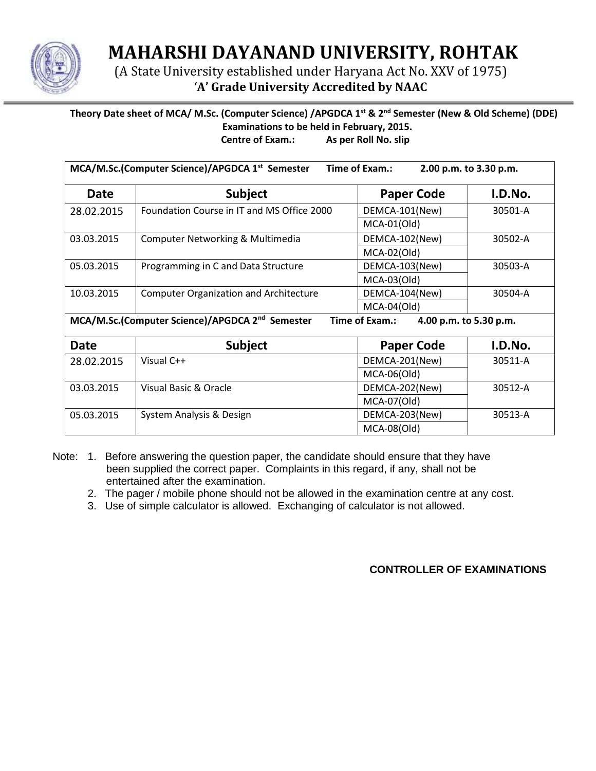

**MAHARSHI DAYANAND UNIVERSITY, ROHTAK**

(A State University established under Haryana Act No. XXV of 1975) **'A' Grade University Accredited by NAAC**

## **Theory Date sheet of MCA/ M.Sc. (Computer Science) /APGDCA 1st & 2nd Semester (New & Old Scheme) (DDE) Examinations to be held in February, 2015. Centre of Exam.: As per Roll No. slip**

| MCA/M.Sc.(Computer Science)/APGDCA 1 <sup>st</sup> Semester<br>Time of Exam.:<br>2.00 p.m. to 3.30 p.m. |                                               |                   |         |  |  |
|---------------------------------------------------------------------------------------------------------|-----------------------------------------------|-------------------|---------|--|--|
| <b>Date</b>                                                                                             | <b>Subject</b>                                | <b>Paper Code</b> | I.D.No. |  |  |
| 28.02.2015                                                                                              | Foundation Course in IT and MS Office 2000    | DEMCA-101(New)    | 30501-A |  |  |
|                                                                                                         |                                               | $MCA-01(Old)$     |         |  |  |
| 03.03.2015<br>Computer Networking & Multimedia                                                          |                                               | DEMCA-102(New)    | 30502-A |  |  |
|                                                                                                         |                                               | $MCA-02(Old)$     |         |  |  |
| 05.03.2015                                                                                              | Programming in C and Data Structure           | DEMCA-103(New)    | 30503-A |  |  |
|                                                                                                         |                                               | $MCA-03(Old)$     |         |  |  |
| 10.03.2015                                                                                              | <b>Computer Organization and Architecture</b> | DEMCA-104(New)    | 30504-A |  |  |
|                                                                                                         |                                               | $MCA-04(Old)$     |         |  |  |
| MCA/M.Sc.(Computer Science)/APGDCA 2 <sup>nd</sup> Semester<br>Time of Exam.:<br>4.00 p.m. to 5.30 p.m. |                                               |                   |         |  |  |
| <b>Date</b>                                                                                             | <b>Subject</b>                                | <b>Paper Code</b> | I.D.No. |  |  |
| 28.02.2015                                                                                              | Visual C++                                    | DEMCA-201(New)    | 30511-A |  |  |
|                                                                                                         |                                               | $MCA-06(Old)$     |         |  |  |
| 03.03.2015                                                                                              | Visual Basic & Oracle                         | DEMCA-202(New)    | 30512-A |  |  |
|                                                                                                         |                                               | MCA-07(Old)       |         |  |  |
| 05.03.2015                                                                                              | System Analysis & Design                      | DEMCA-203(New)    | 30513-A |  |  |
|                                                                                                         |                                               | MCA-08(Old)       |         |  |  |

Note: 1. Before answering the question paper, the candidate should ensure that they have been supplied the correct paper. Complaints in this regard, if any, shall not be entertained after the examination.

- 2. The pager / mobile phone should not be allowed in the examination centre at any cost.
- 3. Use of simple calculator is allowed. Exchanging of calculator is not allowed.

## **CONTROLLER OF EXAMINATIONS**